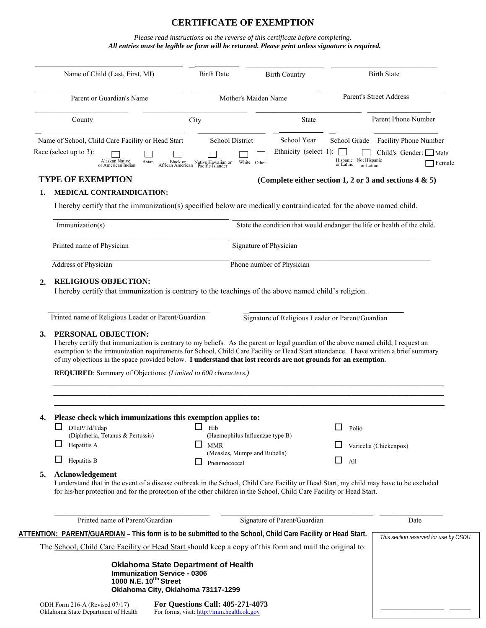# **CERTIFICATE OF EXEMPTION**

#### *Please read instructions on the reverse of this certificate before completing. All entries must be legible or form will be returned. Please print unless signature is required.*

|                           | Name of Child (Last, First, MI)                                                                                                                                                                                                                                                                                                                                                                                                                                       | <b>Birth Date</b><br><b>Birth Country</b>                        |                                                           | <b>Birth State</b>                 |                                             |
|---------------------------|-----------------------------------------------------------------------------------------------------------------------------------------------------------------------------------------------------------------------------------------------------------------------------------------------------------------------------------------------------------------------------------------------------------------------------------------------------------------------|------------------------------------------------------------------|-----------------------------------------------------------|------------------------------------|---------------------------------------------|
| Parent or Guardian's Name |                                                                                                                                                                                                                                                                                                                                                                                                                                                                       | Mother's Maiden Name                                             |                                                           | <b>Parent's Street Address</b>     |                                             |
|                           | County                                                                                                                                                                                                                                                                                                                                                                                                                                                                | City                                                             | <b>State</b>                                              |                                    | Parent Phone Number                         |
|                           | Name of School, Child Care Facility or Head Start                                                                                                                                                                                                                                                                                                                                                                                                                     | <b>School District</b>                                           | School Year                                               | School Grade                       | <b>Facility Phone Number</b>                |
|                           | Race (select up to 3):<br>Alaskan Native<br>Asian<br>or American Indian                                                                                                                                                                                                                                                                                                                                                                                               | Black or Native Hawaiian or<br>African American Pacific Islander | Ethnicity (select 1):<br>White Other                      | Hispanic Not Hispanic<br>or Latino | Child's Gender: Male<br>Female<br>or Latino |
|                           | <b>TYPE OF EXEMPTION</b>                                                                                                                                                                                                                                                                                                                                                                                                                                              |                                                                  | (Complete either section 1, 2 or 3 and sections 4 $\&$ 5) |                                    |                                             |
| 1.                        | <b>MEDICAL CONTRAINDICATION:</b>                                                                                                                                                                                                                                                                                                                                                                                                                                      |                                                                  |                                                           |                                    |                                             |
|                           | I hereby certify that the immunization(s) specified below are medically contraindicated for the above named child.                                                                                                                                                                                                                                                                                                                                                    |                                                                  |                                                           |                                    |                                             |
|                           | State the condition that would endanger the life or health of the child.<br>Immunization(s)                                                                                                                                                                                                                                                                                                                                                                           |                                                                  |                                                           |                                    |                                             |
|                           | Printed name of Physician                                                                                                                                                                                                                                                                                                                                                                                                                                             |                                                                  | Signature of Physician                                    |                                    |                                             |
|                           | <b>Address of Physician</b>                                                                                                                                                                                                                                                                                                                                                                                                                                           |                                                                  | Phone number of Physician                                 |                                    |                                             |
| 3.                        | Printed name of Religious Leader or Parent/Guardian<br>PERSONAL OBJECTION:                                                                                                                                                                                                                                                                                                                                                                                            |                                                                  | Signature of Religious Leader or Parent/Guardian          |                                    |                                             |
|                           | I hereby certify that immunization is contrary to my beliefs. As the parent or legal guardian of the above named child, I request an<br>exemption to the immunization requirements for School, Child Care Facility or Head Start attendance. I have written a brief summary<br>of my objections in the space provided below. I understand that lost records are not grounds for an exemption.<br><b>REQUIRED:</b> Summary of Objections: (Limited to 600 characters.) |                                                                  |                                                           |                                    |                                             |
| 4.                        | Please check which immunizations this exemption applies to:                                                                                                                                                                                                                                                                                                                                                                                                           |                                                                  |                                                           |                                    |                                             |
|                           | $\mathsf{L}$<br>DTaP/Td/Tdap                                                                                                                                                                                                                                                                                                                                                                                                                                          | □<br>Hib                                                         |                                                           | H<br>Polio                         |                                             |
|                           | (Diphtheria, Tetanus & Pertussis)<br>ப<br>Hepatitis A                                                                                                                                                                                                                                                                                                                                                                                                                 | ப<br><b>MMR</b>                                                  | (Haemophilus Influenzae type B)                           |                                    | Varicella (Chickenpox)                      |
|                           | ப<br>Hepatitis B                                                                                                                                                                                                                                                                                                                                                                                                                                                      | Pneumococcal                                                     | (Measles, Mumps and Rubella)                              | □<br>All                           |                                             |
| 5.                        | Acknowledgement<br>I understand that in the event of a disease outbreak in the School, Child Care Facility or Head Start, my child may have to be excluded<br>for his/her protection and for the protection of the other children in the School, Child Care Facility or Head Start.                                                                                                                                                                                   |                                                                  |                                                           |                                    |                                             |
|                           | Printed name of Parent/Guardian                                                                                                                                                                                                                                                                                                                                                                                                                                       |                                                                  | Signature of Parent/Guardian                              |                                    | Date                                        |
|                           | ATTENTION: PARENT/GUARDIAN - This form is to be submitted to the School, Child Care Facility or Head Start.                                                                                                                                                                                                                                                                                                                                                           |                                                                  |                                                           |                                    | This section reserved for use by OSDH.      |

\_\_\_\_\_\_\_\_\_\_\_\_\_\_\_\_\_\_ \_\_\_\_\_\_